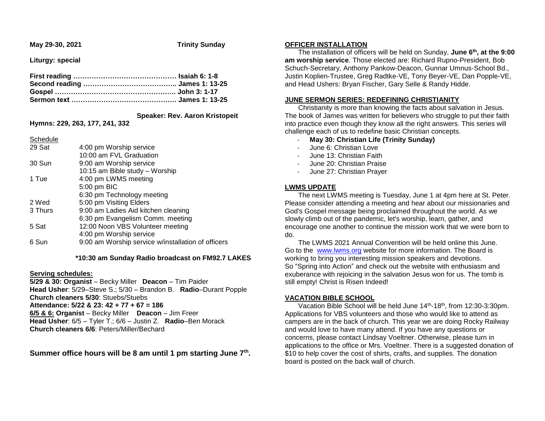**May 29-30, 2021 Trinity Sunday**

**Liturgy: special**

### **Speaker: Rev. Aaron Kristopeit**

**Hymns: 229, 263, 177, 241, 332**

**Schedule** 

| 29 Sat  | 4:00 pm Worship service                            |
|---------|----------------------------------------------------|
|         | 10:00 am FVL Graduation                            |
| 30 Sun  | 9:00 am Worship service                            |
|         | 10:15 am Bible study - Worship                     |
| 1 Tue   | 4:00 pm LWMS meeting                               |
|         | 5:00 pm BIC                                        |
|         | 6:30 pm Technology meeting                         |
| 2 Wed   | 5:00 pm Visiting Elders                            |
| 3 Thurs | 9:00 am Ladies Aid kitchen cleaning                |
|         | 6:30 pm Evangelism Comm. meeting                   |
| 5 Sat   | 12:00 Noon VBS Volunteer meeting                   |
|         | 4:00 pm Worship service                            |
| 6 Sun   | 9:00 am Worship service w/installation of officers |
|         |                                                    |

 **\*10:30 am Sunday Radio broadcast on FM92.7 LAKES**

# **Serving schedules:**

**5/29 & 30: Organist** – Becky Miller **Deacon** – Tim Paider **Head Usher**: 5/29–Steve S.; 5/30 – Brandon B. **Radio**–Durant Popple **Church cleaners 5/30**: Stuebs/Stuebs **Attendance: 5/22 & 23: 42 + 77 + 67 = 186 6/5 & 6: Organist** – Becky Miller **Deacon** – Jim Freer **Head Usher**: 6/5 – Tyler T.; 6/6 – Justin Z. **Radio**–Ben Morack **Church cleaners 6/6**: Peters/Miller/Bechard

**Summer office hours will be 8 am until 1 pm starting June 7th .**

# **OFFICER INSTALLATION**

 The installation of officers will be held on Sunday, **June 6th, at the 9:00 am worship service**. Those elected are: Richard Rupno-President, Bob Schuch-Secretary, Anthony Pankow-Deacon, Gunnar Umnus-School Bd., Justin Koplien-Trustee, Greg Radtke-VE, Tony Beyer-VE, Dan Popple-VE, and Head Ushers: Bryan Fischer, Gary Selle & Randy Hidde.

# **JUNE SERMON SERIES: REDEFINING CHRISTIANITY**

 Christianity is more than knowing the facts about salvation in Jesus. The book of James was written for believers who struggle to put their faith into practice even though they know all the right answers. This series will challenge each of us to redefine basic Christian concepts.

- **May 30: Christian Life (Trinity Sunday)**
- June 6: Christian Love
- June 13: Christian Faith
- June 20: Christian Praise
- June 27: Christian Prayer

### **LWMS UPDATE**

 The next LWMS meeting is Tuesday, June 1 at 4pm here at St. Peter. Please consider attending a meeting and hear about our missionaries and God's Gospel message being proclaimed throughout the world. As we slowly climb out of the pandemic, let's worship, learn, gather, and encourage one another to continue the mission work that we were born to do.

 The LWMS 2021 Annual Convention will be held online this June. Go to the [www.lwms.org](https://linkprotect.cudasvc.com/url?a=https%3a%2f%2fwww.lwms.org&c=E,1,RbDPDMvv0PIyoeWp9K76FVw4VLZiHa77y76IHHGXiB1jL1keXC-kUEdRYEAcONkwG_iAT4LoIc2ns7zCkbuPYd9-6QI246CWdx9jl7s-KpMpudk,&typo=1&ancr_add=1) website for more information. The Board is working to bring you interesting mission speakers and devotions. So "Spring into Action" and check out the website with enthusiasm and exuberance with rejoicing in the salvation Jesus won for us. The tomb is still empty! Christ is Risen Indeed!

# **VACATION BIBLE SCHOOL**

Vacation Bible School will be held June 14<sup>th</sup>-18<sup>th</sup>, from 12:30-3:30pm. Applications for VBS volunteers and those who would like to attend as campers are in the back of church. This year we are doing Rocky Railway and would love to have many attend. If you have any questions or concerns, please contact Lindsay Voeltner. Otherwise, please turn in applications to the office or Mrs. Voeltner. There is a suggested donation of \$10 to help cover the cost of shirts, crafts, and supplies. The donation board is posted on the back wall of church.